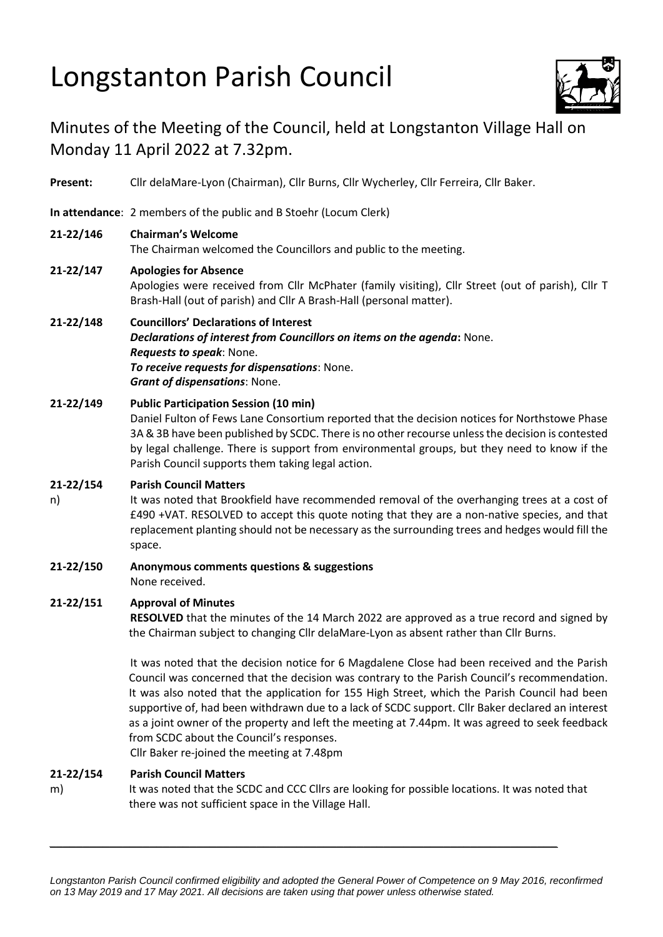# Longstanton Parish Council



## Minutes of the Meeting of the Council, held at Longstanton Village Hall on Monday 11 April 2022 at 7.32pm.

**Present:** Cllr delaMare-Lyon (Chairman), Cllr Burns, Cllr Wycherley, Cllr Ferreira, Cllr Baker.

**In attendance**: 2 members of the public and B Stoehr (Locum Clerk)

#### **21-22/146 Chairman's Welcome**

The Chairman welcomed the Councillors and public to the meeting.

### **21-22/147 Apologies for Absence**

Apologies were received from Cllr McPhater (family visiting), Cllr Street (out of parish), Cllr T Brash-Hall (out of parish) and Cllr A Brash-Hall (personal matter).

#### **21-22/148 Councillors' Declarations of Interest**

*Declarations of interest from Councillors on items on the agenda***:** None. *Requests to speak*: None. *To receive requests for dispensations*: None. *Grant of dispensations*: None.

#### **21-22/149 Public Participation Session (10 min)**

Daniel Fulton of Fews Lane Consortium reported that the decision notices for Northstowe Phase 3A & 3B have been published by SCDC. There is no other recourse unless the decision is contested by legal challenge. There is support from environmental groups, but they need to know if the Parish Council supports them taking legal action.

#### **21-22/154 Parish Council Matters**

n) It was noted that Brookfield have recommended removal of the overhanging trees at a cost of £490 +VAT. RESOLVED to accept this quote noting that they are a non-native species, and that replacement planting should not be necessary as the surrounding trees and hedges would fill the space.

**21-22/150 Anonymous comments questions & suggestions** None received.

#### **21-22/151 Approval of Minutes**

**RESOLVED** that the minutes of the 14 March 2022 are approved as a true record and signed by the Chairman subject to changing Cllr delaMare-Lyon as absent rather than Cllr Burns.

It was noted that the decision notice for 6 Magdalene Close had been received and the Parish Council was concerned that the decision was contrary to the Parish Council's recommendation. It was also noted that the application for 155 High Street, which the Parish Council had been supportive of, had been withdrawn due to a lack of SCDC support. Cllr Baker declared an interest as a joint owner of the property and left the meeting at 7.44pm. It was agreed to seek feedback from SCDC about the Council's responses.

Cllr Baker re-joined the meeting at 7.48pm

#### **21-22/154 Parish Council Matters**

m) It was noted that the SCDC and CCC Cllrs are looking for possible locations. It was noted that there was not sufficient space in the Village Hall.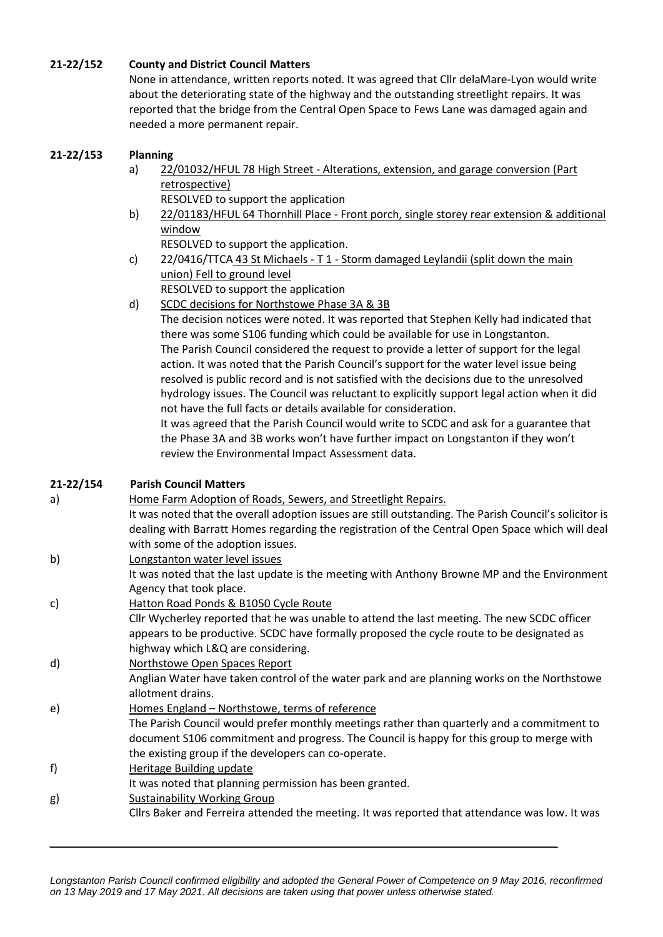#### **21-22/152 County and District Council Matters**

None in attendance, written reports noted. It was agreed that Cllr delaMare-Lyon would write about the deteriorating state of the highway and the outstanding streetlight repairs. It was reported that the bridge from the Central Open Space to Fews Lane was damaged again and needed a more permanent repair.

#### **21-22/153 Planning**

- a) 22/01032/HFUL 78 High Street Alterations, extension, and garage conversion (Part retrospective) RESOLVED to support the application
- b) 22/01183/HFUL 64 Thornhill Place Front porch, single storey rear extension & additional window

RESOLVED to support the application.

- c) 22/0416/TTCA 43 St Michaels T 1 Storm damaged Leylandii (split down the main union) Fell to ground level
- RESOLVED to support the application d) SCDC decisions for Northstowe Phase 3A & 3B
	- The decision notices were noted. It was reported that Stephen Kelly had indicated that there was some S106 funding which could be available for use in Longstanton. The Parish Council considered the request to provide a letter of support for the legal action. It was noted that the Parish Council's support for the water level issue being resolved is public record and is not satisfied with the decisions due to the unresolved hydrology issues. The Council was reluctant to explicitly support legal action when it did not have the full facts or details available for consideration. It was agreed that the Parish Council would write to SCDC and ask for a guarantee that

the Phase 3A and 3B works won't have further impact on Longstanton if they won't review the Environmental Impact Assessment data.

| 21-22/154 | <b>Parish Council Matters</b>                                                                          |
|-----------|--------------------------------------------------------------------------------------------------------|
| a)        | Home Farm Adoption of Roads, Sewers, and Streetlight Repairs.                                          |
|           | It was noted that the overall adoption issues are still outstanding. The Parish Council's solicitor is |
|           | dealing with Barratt Homes regarding the registration of the Central Open Space which will deal        |
|           | with some of the adoption issues.                                                                      |
| b)        | Longstanton water level issues                                                                         |
|           | It was noted that the last update is the meeting with Anthony Browne MP and the Environment            |
|           | Agency that took place.                                                                                |
| c)        | Hatton Road Ponds & B1050 Cycle Route                                                                  |
|           | Cllr Wycherley reported that he was unable to attend the last meeting. The new SCDC officer            |
|           | appears to be productive. SCDC have formally proposed the cycle route to be designated as              |
|           | highway which L&Q are considering.                                                                     |
| d)        | Northstowe Open Spaces Report                                                                          |
|           | Anglian Water have taken control of the water park and are planning works on the Northstowe            |
|           | allotment drains.                                                                                      |
| e)        | Homes England - Northstowe, terms of reference                                                         |
|           | The Parish Council would prefer monthly meetings rather than quarterly and a commitment to             |
|           | document S106 commitment and progress. The Council is happy for this group to merge with               |
|           | the existing group if the developers can co-operate.                                                   |
| f)        | <b>Heritage Building update</b>                                                                        |
|           | It was noted that planning permission has been granted.                                                |
| g)        | <b>Sustainability Working Group</b>                                                                    |
|           | Cllrs Baker and Ferreira attended the meeting. It was reported that attendance was low. It was         |
|           |                                                                                                        |